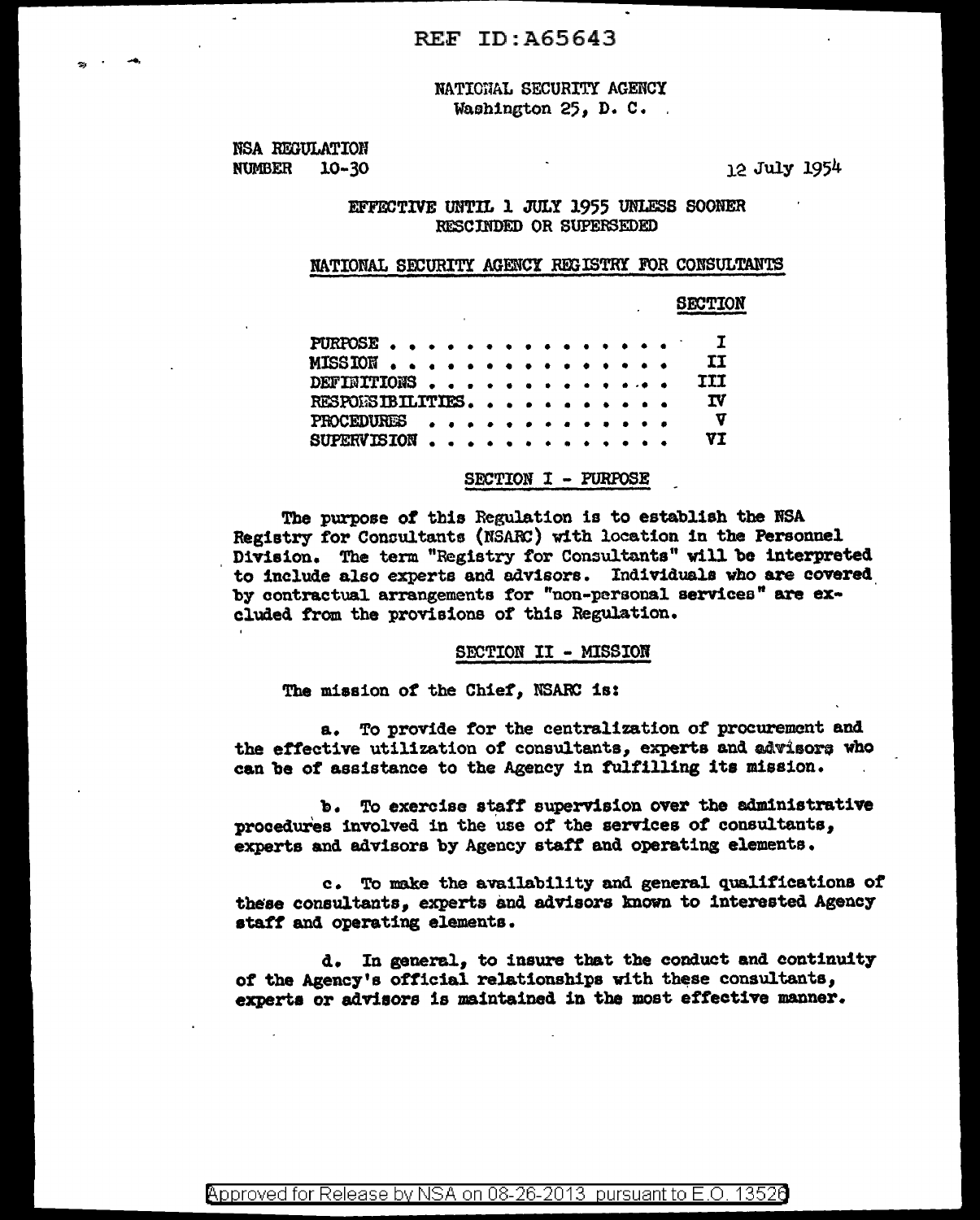# NATIONAL SECURITY AGENCY Washington 25, D. C.

NSA REGULATION NUMBER 10-30

.....

12 July 1954

## EFFECTIVE UNTIL 1 JULY 1955 UNLESS SOONER RESCINDED OR SUPERSEDED

## NATIONAL SECURITY AGENCY REGISTRY FOR CONSULTANTS

SECTION

|  |  |  |  |  |  |  |  |  | TI                                                                                  |
|--|--|--|--|--|--|--|--|--|-------------------------------------------------------------------------------------|
|  |  |  |  |  |  |  |  |  | <b>TIT</b>                                                                          |
|  |  |  |  |  |  |  |  |  | <b>IV</b>                                                                           |
|  |  |  |  |  |  |  |  |  | $\bm{\nabla}$                                                                       |
|  |  |  |  |  |  |  |  |  | VT                                                                                  |
|  |  |  |  |  |  |  |  |  | PURPOSE<br>MISSION<br>DEFINITIONS<br>RESPONSIBILITIES.<br>PROCEDURES<br>SUPERVISION |

## SECTION I - PURFOSE

The purpose *ot* this Regulation is to establish the NSA Registry for Consultants (NSARC) with location in the Personnel Division. The term "Registry for Consultants" will be interpreted to include also experts and advisors. Individuals who are covered by contractual arrangements tor "non-personal servicea" are excluded from the provisions of this Regulation.

### SECTION II - MISSION

The mission of the Chief, NSARC is:

a. To provide for the centralization of procurement and the effective utilization of consultants, experts and advisors who can be of assistance to the Agency in fulfilling its mission.

'b. To exercise staff supervision over the administrative procedures involved in the 'use of the services *ot* consultants, experts and advisors by Agency staff and operating elements.

c. To make the ava1lab111ty and general qualifications of these consultants, experts and advisors known to interested Agency staff and operating elements.

d. In general, to insure that the conduct and continuity of the Agency's official relationships with these consultants, experts or advisors is maintained in the most effective manner.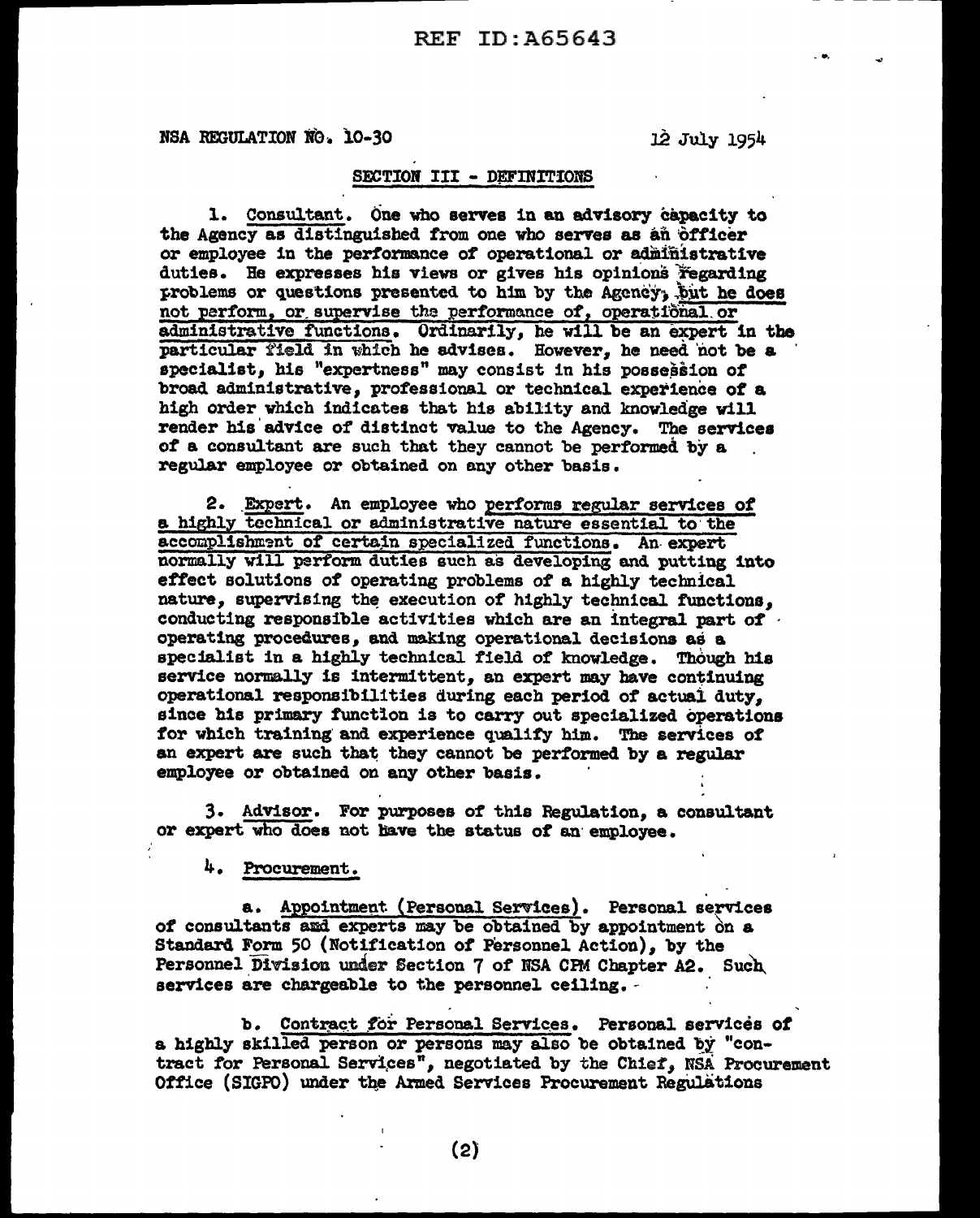# REF ID:A65643

NSA REGULATION  $\overline{N}$ O. 10-30 12 July 1954

- ...

## SECTION III - DEFINITIONS

l. Consultant. One who serves in an advisory capacity to the Agency as distinguished from one who serves as an officer or employee in the performance of operational or administrative duties. He expresses his views or gives his opinions regarding problems or questions presented to him by the Agency; but he does not perform, or supervise the performance of, operational or administrative functions. Ordinarily, he will be an expert in the particular field in which he advises. However, he need not be a specialist, his "expertness" may consist in his possession of broad administrative, professional or technical experience of a high order which indicates that his ability and knowledge will render his'advice of distinct value to the Agency. The services *ot* a consultant are such that they cannot be performed by a . regular employee or obtained on any other basis.

2. \_Expert. An employee who performs regular services of a highly technical or administrative nature essential to the accomplishment of certain specialized functions. An expert normally will perform duties such as developing and putting into effect solutions of operating problems *ot* a highly technical nature, supervising the execution of highly technical functions. conducting responsible activities which are an integral part of operating procedures, and making operational decisions as a specialist in a highly technical field of knowledge. Though his service normally is intermittent, an expert may have continuing operational respons1bil1 ties during each period of actual duty, since his primary function is to carry out specialized operations for which training and experience qualify him. The services of an expert are such that they cannot be performed by a regular employee or obtained on any other basis.

3. Advisor. For purposes of this Regulation, a consultant or expert who does not Jiave the status *ot* an· employee.

4. Procurement.

a. Appointment (Personal Services). Personal services of consultants and experts may be obtained by appointment on a Standard Form 50 (Notification *ot* Personnel Action), by the Personnel Division under Section 7 of NSA CPM Chapter A2. Such services are chargeable to the personnel ceiling. -

b. Contract for Personal Services. Personal services of a highly skilled person or persons may also be obtained by "contract for Personal Services", negotiated by the Chief, NSA Procurement Office (SIGPO) under the Armed Services Procurement Regulations

(2)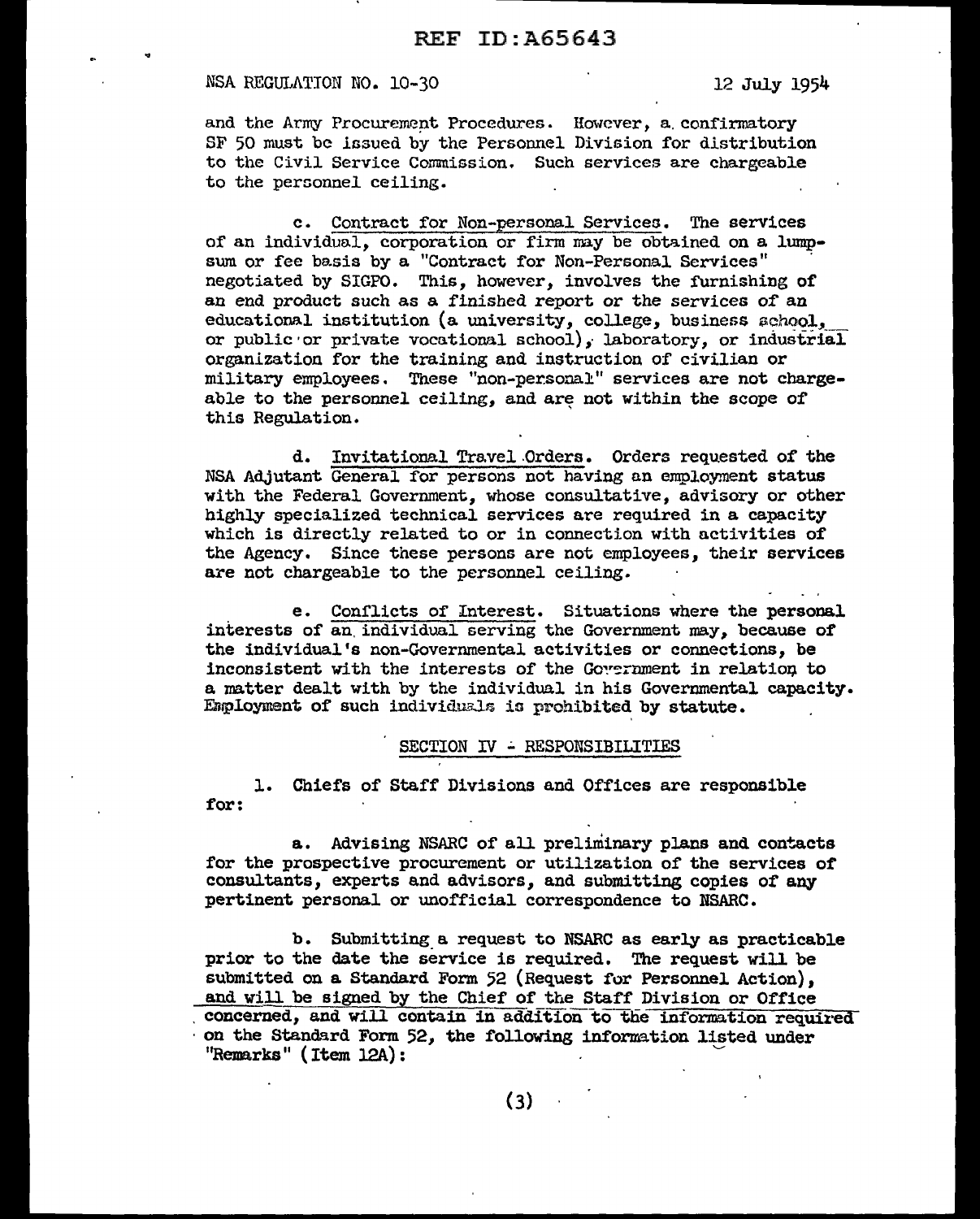#### NSA REGULATION NO. 10-30 12 July 1954

and the Army Procurement Procedures. However, a confirmatory SF 50 must be issued by the Personnel Division for distribution to the Civil Service Commission. Such services are chargeable to the personnel ceiling.

c. Contract for Non-personal Serviceo. The services of an individual, corporation or firm may be obtained on a lumpsum or fee basis by a "Contract for Non-Personal Services" negotiated by SIGPO. This, however, involves the furnishing of an end product such as a finished report or the services or an educational institution (a university, college, business  $a$ chool, or public or private vocational school), laboratory, or industrial organlzation for the training and instruction of civilian or military employees. These "non-personal" services are not chargeable to the personnel ceiling, and are not within the scope of this Regulation.

d. Invitational Travel Orders. Orders requested of the NSA Adjutant General for persons not having an employment status with the Federal Government, whose consultative, advisory or other highly specialized technical services are required in a capacity which is directly related to or in connection with activities of the Agency. Since these persons are not employees, their services are not chargeable to the personnel ceiling.

e. Conflicts of Interest. Situations where the personal interests of an. individual serving the Government may, because *ot*  the individual's non-Governmental activities or connections, be inconsistent with the interests of the Government in relation to a matter dealt with by the individual in his Governmental capacity. Employment of such individuals is prohibited by statute.

### SECTION **IV** - RESPONSIBILITIES

1. Chiefs of Staff Divisions and Offices are responsible for:

a. Advising NSARC of all preliminary plans and contacts for the prospective procurement or utilization of the services *ot*  consultants, experts and advisors, and submitting copies *ot* any pertinent personal or unofficial correspondence to NSARC.

b. Submitting a request to NSARC as early as practicable prior to the date the service is required. The request will be submitted on a Standard Form 52 (Request for Personnel Action), and will be signed by the Chief or the Staff Division or Office concerned, and will contain in addition to the information required on the Standard Form 52, the following information listed under  $"Remarks"$  (Item  $12A)$ :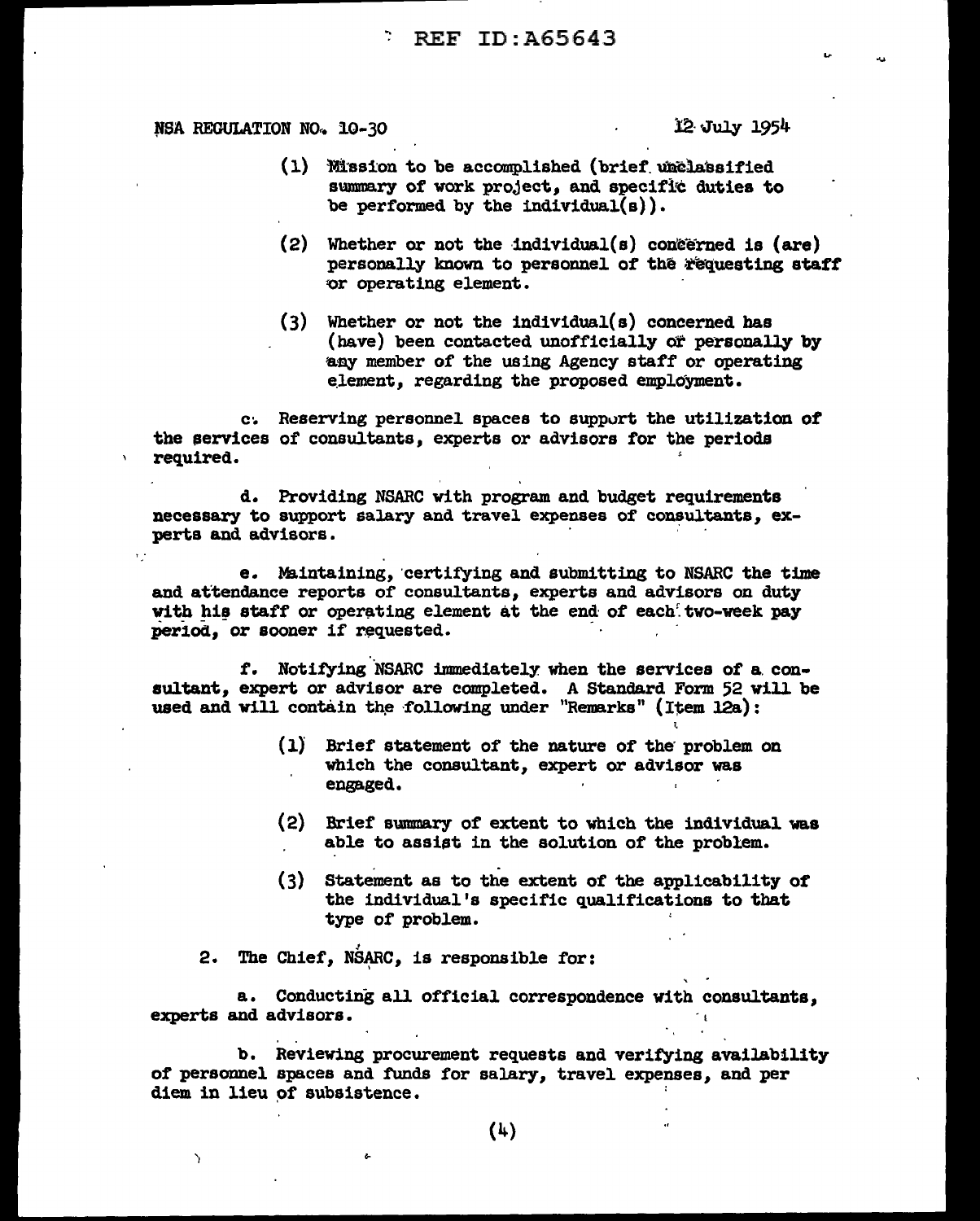# REF ID:A65643

# NSA REGULATION NO. 10-30 let 12 July 1954

 $\epsilon$  .

 $\mathbf{A}$ 

- $(1)$  Mission to be accomplished (brief  $w$  a lassified) summary of work project, and specific duties to be performed by the individual( $s$ )).
- $(2)$  Whether or not the individual(s) con $\tilde{c}$ erned is (are) personally known to personnel of the requesting staff 'Or operating element.
- (3) Whether or not the individual(s) concerned baa (have) been contacted unofficially or personally by any member of the using Agency staff or operating element. regarding the proposed employment.

c. Reserving personnel spaces to support the utilization of the services of consultants, experts or advisors for the periods required.

d. Providing NSARC with program and budget requirements necessary to support salary and travel expenses of consultants, experts and advisors.

e. Maintaining, certifying and submitting to NSARC the time and attendance reports of consultants, experts and advisors on duty with his staff or operating element at the end of each two-week pay period. or sooner if requested.

f. Notifying *NSARC* immediately when the services of a consultant, expert or advisor are completed. A Standard Form 52 will be used and will contain the following under "Remarks" (Item 12a):

- (l) Brief statement of the nature or the· problem on which the consultant, expert or advisor was engaged.
- (2) Brief swnmary of extent to which the individual was able to assist in the solution of the problem.
- $(3)$  Statement as to the extent of the applicability of the individual's specific qualifications to that type of problem.

2. The Chief, NSARC, is responsible for:

a. Conducting all official correspondence with consultants, experts and advisors.

b. Reviewing procurement requests and verifying availability of personnel spaces and funds for salary, travel expenses, and per diem in lieu of subsistence.

(4)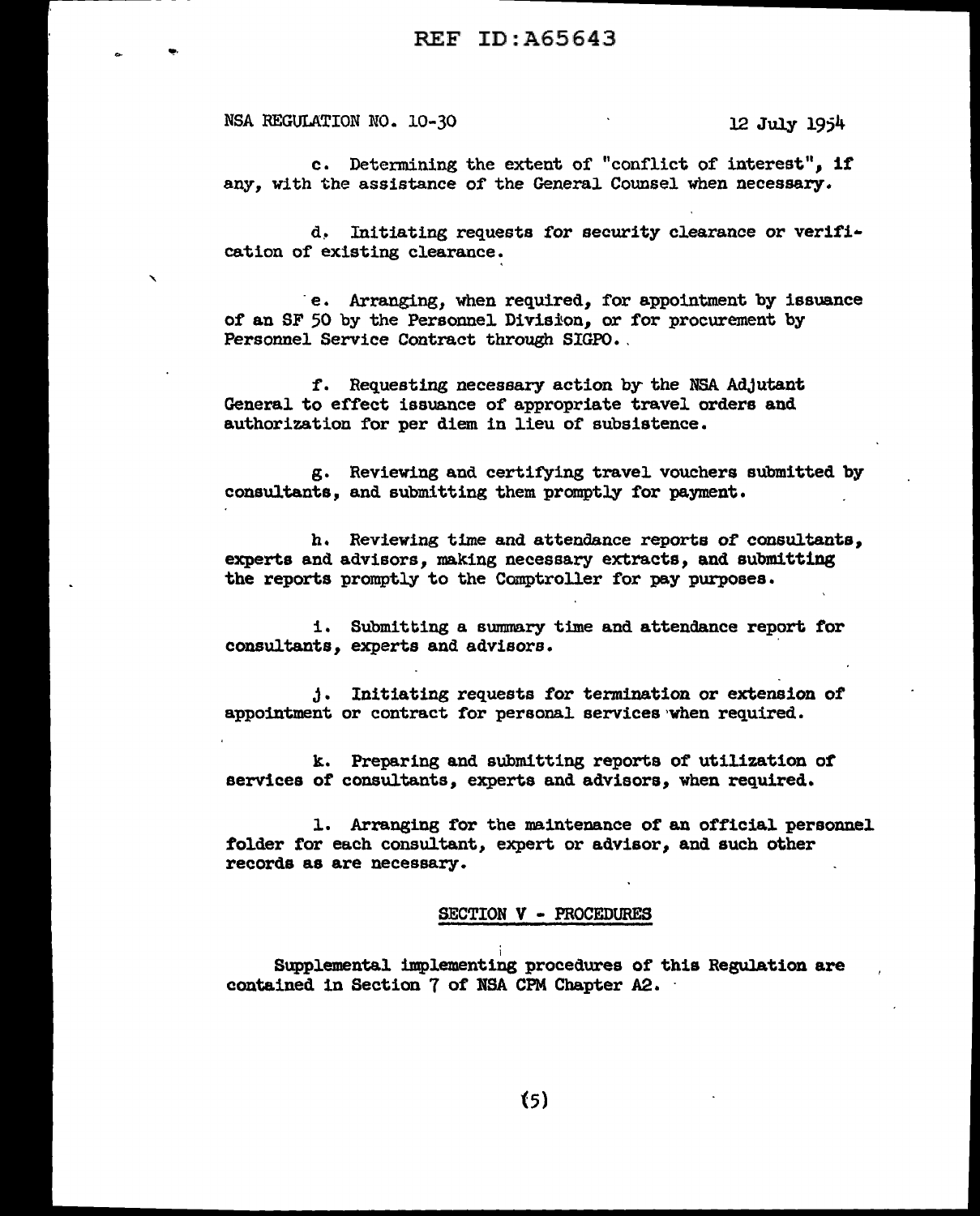NSA REGULATION NO. 10-30 12 July 1954

. <del>. . . . . . . . . . . . . . . .</del> . .

"'!'·

c. Determining the extent of "conflict of interest", if any, with the assistance of the General Counsel when necessary.

d. Initiating requests for security clearance or verification of existing clearance.

e. Arranging, when required, for appointment by issuance of an SF 50 by the Personne1 Division, or for procurement by Personnel Service Contract through SIGPO.

f. Requesting necessary action by- the NSA Adjutant General to effect issuance of appropriate travel orders and authorization for per diem in lieu of subsistence.

g. Reviewing and certifying travel. vouchers submitted by consultants, and submitting them promptly for payment.

h. Reviewing time and attendance reports of consultants, experts and advisors, making necessary extracts, and submitting the reports promptly to the Comptroller for pay purposes.

1. Submitting a summary time and attendance report for consultants, experts and advisors.

J. Initiating requests for termination or extension of appointment or contract for personal services when required.

k. Preparing and submitting reports of utilization of services of consultants, experts and advisors, when required.

l. Arranging for the maintenance of an official personnel folder tor each consultant, expert or advisor, and such other records as are necessary.

#### SECTION V - PROCEDURES

Supplemental implementing procedures of this Regulation are contained in Section 7 of NSA CPM Chapter A2. ·